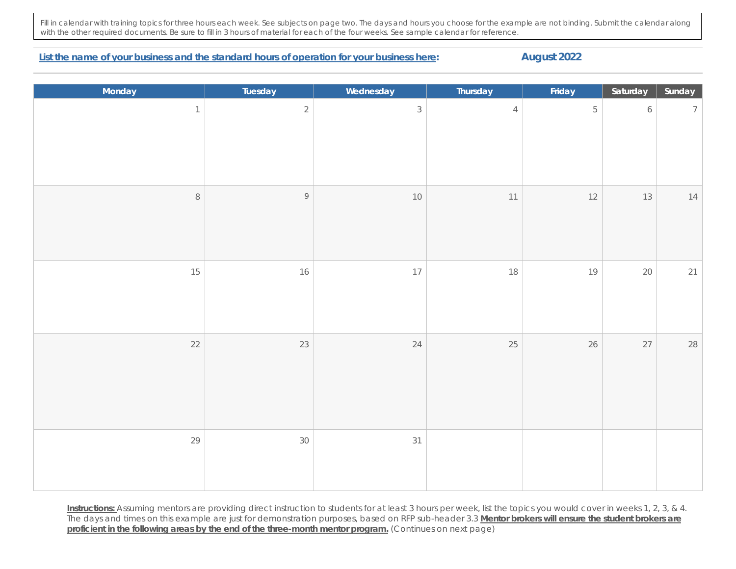Fill in calendar with training topics for three hours each week. See subjects on page two. The days and hours you choose for the example are not binding. Submit the calendar along with the other required documents. Be sure to fill in 3 hours of material for each of the four weeks. See sample calendar for reference.

## List the name of your business and the standard hours of operation for your business here: **August 2022**

| Monday       | Tuesday        | Wednesday      | Thursday   | Friday         | Saturday         | Sunday         |
|--------------|----------------|----------------|------------|----------------|------------------|----------------|
| $\mathbf{1}$ | $\overline{2}$ | $\mathfrak{Z}$ | $\sqrt{4}$ | $\overline{5}$ | $\boldsymbol{6}$ | $\overline{7}$ |
|              |                |                |            |                |                  |                |
|              |                |                |            |                |                  |                |
|              |                |                |            |                |                  |                |
|              |                |                |            |                |                  |                |
| $\,8\,$      | $\,9$          | 10             | 11         | 12             | 13               | 14             |
|              |                |                |            |                |                  |                |
|              |                |                |            |                |                  |                |
|              |                |                |            |                |                  |                |
| 15           | 16             | 17             | 18         | 19             | 20               | 21             |
|              |                |                |            |                |                  |                |
|              |                |                |            |                |                  |                |
|              |                |                |            |                |                  |                |
| 22           | 23             | 24             | 25         | 26             | 27               | 28             |
|              |                |                |            |                |                  |                |
|              |                |                |            |                |                  |                |
|              |                |                |            |                |                  |                |
|              |                |                |            |                |                  |                |
| 29           | 30             | 31             |            |                |                  |                |
|              |                |                |            |                |                  |                |
|              |                |                |            |                |                  |                |
|              |                |                |            |                |                  |                |

Instructions: Assuming mentors are providing direct instruction to students for at least 3 hours per week, list the topics you would cover in weeks 1, 2, 3, & 4. The days and times on this example are just for demonstration purposes, based on RFP sub-header 3.3 **Mentor brokers will ensure the student brokers are proficient in the following areas by the end of the three-month mentor program.** (Continues on next page)